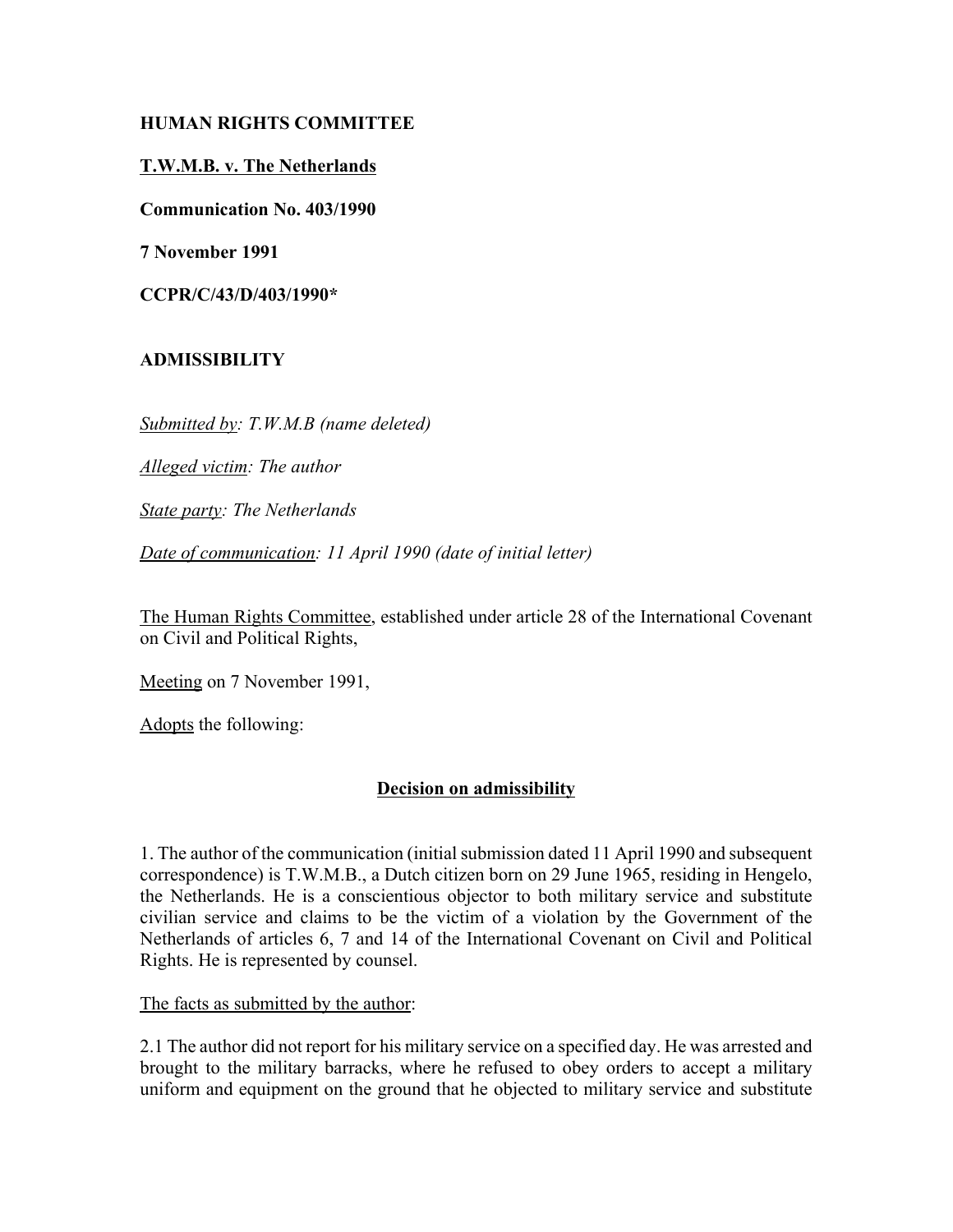# **HUMAN RIGHTS COMMITTEE**

## **T.W.M.B. v. The Netherlands**

**Communication No. 403/1990**

**7 November 1991**

**CCPR/C/43/D/403/1990\***

## **ADMISSIBILITY**

*Submitted by: T.W.M.B (name deleted)*

*Alleged victim: The author*

*State party: The Netherlands*

*Date of communication: 11 April 1990 (date of initial letter)*

The Human Rights Committee, established under article 28 of the International Covenant on Civil and Political Rights,

Meeting on 7 November 1991,

Adopts the following:

### **Decision on admissibility**

1. The author of the communication (initial submission dated 11 April 1990 and subsequent correspondence) is T.W.M.B., a Dutch citizen born on 29 June 1965, residing in Hengelo, the Netherlands. He is a conscientious objector to both military service and substitute civilian service and claims to be the victim of a violation by the Government of the Netherlands of articles 6, 7 and 14 of the International Covenant on Civil and Political Rights. He is represented by counsel.

The facts as submitted by the author:

2.1 The author did not report for his military service on a specified day. He was arrested and brought to the military barracks, where he refused to obey orders to accept a military uniform and equipment on the ground that he objected to military service and substitute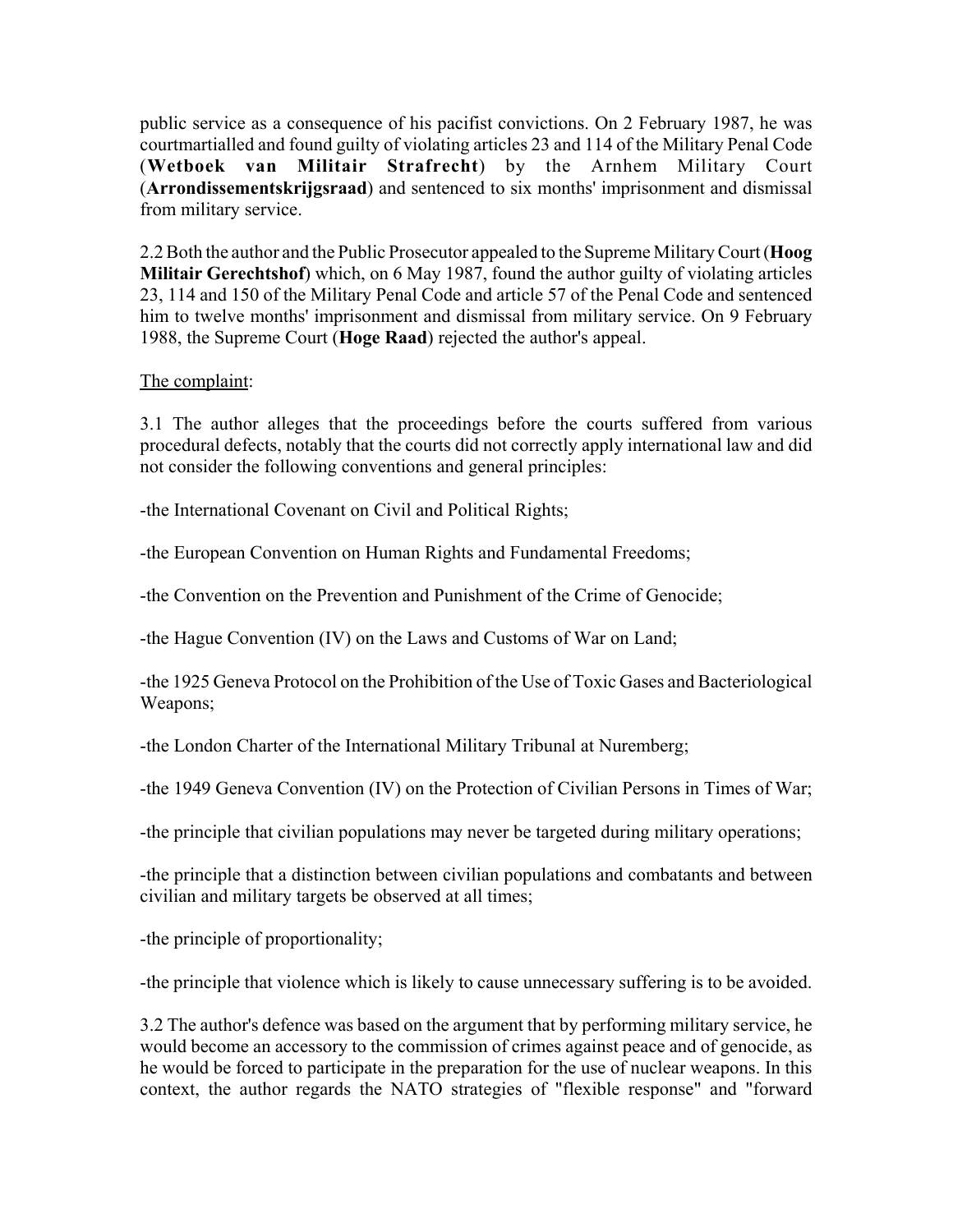public service as a consequence of his pacifist convictions. On 2 February 1987, he was courtmartialled and found guilty of violating articles 23 and 114 of the Military Penal Code (**Wetboek van Militair Strafrecht**) by the Arnhem Military Court (**Arrondissementskrijgsraad**) and sentenced to six months' imprisonment and dismissal from military service.

2.2 Both the author and the Public Prosecutor appealed to the Supreme Military Court (**Hoog Militair Gerechtshof**) which, on 6 May 1987, found the author guilty of violating articles 23, 114 and 150 of the Military Penal Code and article 57 of the Penal Code and sentenced him to twelve months' imprisonment and dismissal from military service. On 9 February 1988, the Supreme Court (**Hoge Raad**) rejected the author's appeal.

# The complaint:

3.1 The author alleges that the proceedings before the courts suffered from various procedural defects, notably that the courts did not correctly apply international law and did not consider the following conventions and general principles:

-the International Covenant on Civil and Political Rights;

-the European Convention on Human Rights and Fundamental Freedoms;

-the Convention on the Prevention and Punishment of the Crime of Genocide;

-the Hague Convention (IV) on the Laws and Customs of War on Land;

-the 1925 Geneva Protocol on the Prohibition of the Use of Toxic Gases and Bacteriological Weapons;

-the London Charter of the International Military Tribunal at Nuremberg;

-the 1949 Geneva Convention (IV) on the Protection of Civilian Persons in Times of War;

-the principle that civilian populations may never be targeted during military operations;

-the principle that a distinction between civilian populations and combatants and between civilian and military targets be observed at all times;

-the principle of proportionality;

-the principle that violence which is likely to cause unnecessary suffering is to be avoided.

3.2 The author's defence was based on the argument that by performing military service, he would become an accessory to the commission of crimes against peace and of genocide, as he would be forced to participate in the preparation for the use of nuclear weapons. In this context, the author regards the NATO strategies of "flexible response" and "forward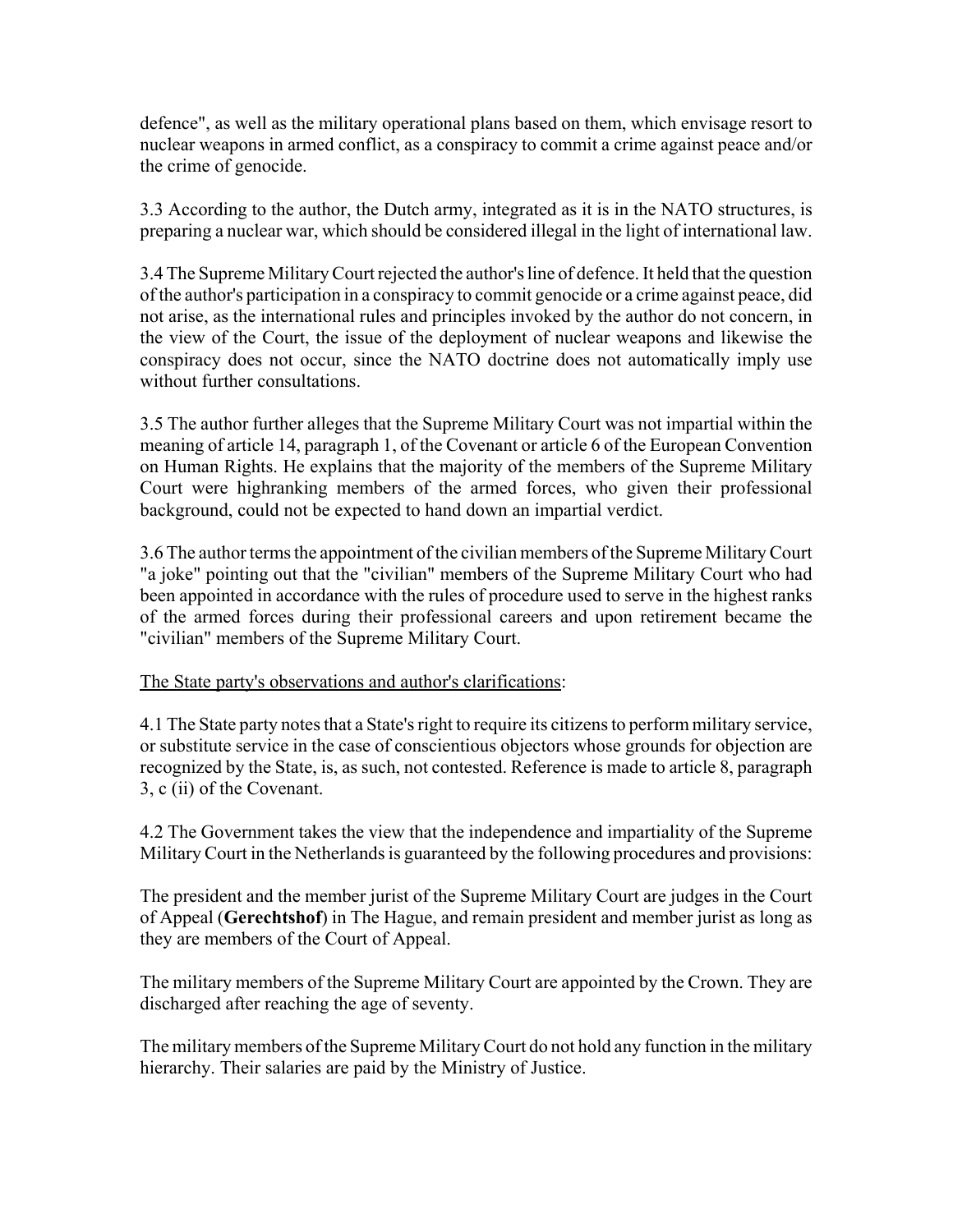defence", as well as the military operational plans based on them, which envisage resort to nuclear weapons in armed conflict, as a conspiracy to commit a crime against peace and/or the crime of genocide.

3.3 According to the author, the Dutch army, integrated as it is in the NATO structures, is preparing a nuclear war, which should be considered illegal in the light of international law.

3.4 The Supreme Military Court rejected the author's line of defence. It held that the question of the author's participation in a conspiracy to commit genocide or a crime against peace, did not arise, as the international rules and principles invoked by the author do not concern, in the view of the Court, the issue of the deployment of nuclear weapons and likewise the conspiracy does not occur, since the NATO doctrine does not automatically imply use without further consultations.

3.5 The author further alleges that the Supreme Military Court was not impartial within the meaning of article 14, paragraph 1, of the Covenant or article 6 of the European Convention on Human Rights. He explains that the majority of the members of the Supreme Military Court were highranking members of the armed forces, who given their professional background, could not be expected to hand down an impartial verdict.

3.6 The author terms the appointment of the civilian members of the Supreme Military Court "a joke" pointing out that the "civilian" members of the Supreme Military Court who had been appointed in accordance with the rules of procedure used to serve in the highest ranks of the armed forces during their professional careers and upon retirement became the "civilian" members of the Supreme Military Court.

### The State party's observations and author's clarifications:

4.1 The State party notes that a State's right to require its citizens to perform military service, or substitute service in the case of conscientious objectors whose grounds for objection are recognized by the State, is, as such, not contested. Reference is made to article 8, paragraph 3, c (ii) of the Covenant.

4.2 The Government takes the view that the independence and impartiality of the Supreme Military Court in the Netherlands is guaranteed by the following procedures and provisions:

The president and the member jurist of the Supreme Military Court are judges in the Court of Appeal (**Gerechtshof**) in The Hague, and remain president and member jurist as long as they are members of the Court of Appeal.

The military members of the Supreme Military Court are appointed by the Crown. They are discharged after reaching the age of seventy.

The military members of the Supreme Military Court do not hold any function in the military hierarchy. Their salaries are paid by the Ministry of Justice.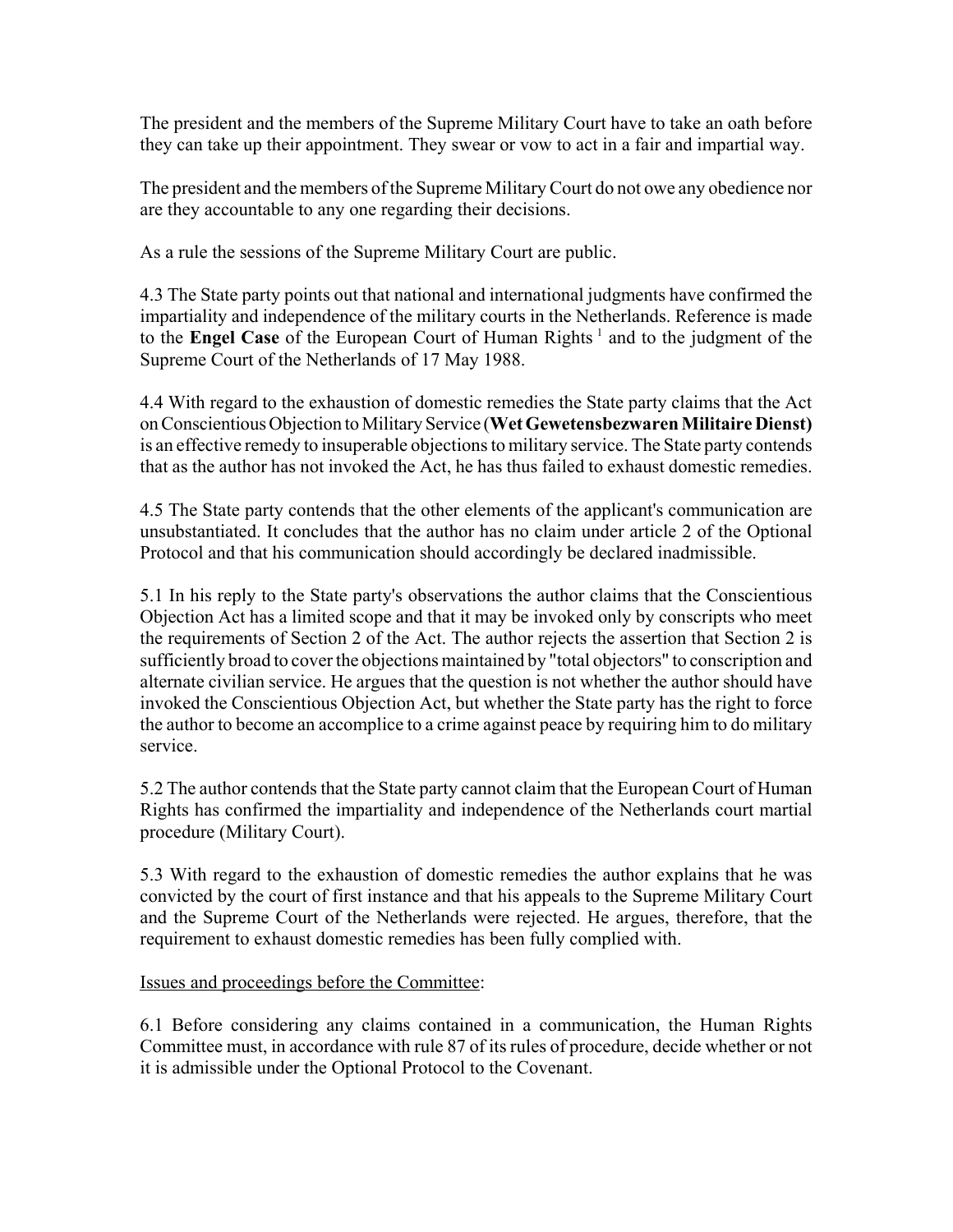The president and the members of the Supreme Military Court have to take an oath before they can take up their appointment. They swear or vow to act in a fair and impartial way.

The president and the members of the Supreme Military Court do not owe any obedience nor are they accountable to any one regarding their decisions.

As a rule the sessions of the Supreme Military Court are public.

4.3 The State party points out that national and international judgments have confirmed the impartiality and independence of the military courts in the Netherlands. Reference is made to the **Engel Case** of the European Court of Human Rights<sup>1</sup> and to the judgment of the Supreme Court of the Netherlands of 17 May 1988.

4.4 With regard to the exhaustion of domestic remedies the State party claims that the Act on Conscientious Objection to Military Service (**Wet Gewetensbezwaren Militaire Dienst)** is an effective remedy to insuperable objections to military service. The State party contends that as the author has not invoked the Act, he has thus failed to exhaust domestic remedies.

4.5 The State party contends that the other elements of the applicant's communication are unsubstantiated. It concludes that the author has no claim under article 2 of the Optional Protocol and that his communication should accordingly be declared inadmissible.

5.1 In his reply to the State party's observations the author claims that the Conscientious Objection Act has a limited scope and that it may be invoked only by conscripts who meet the requirements of Section 2 of the Act. The author rejects the assertion that Section 2 is sufficiently broad to cover the objections maintained by "total objectors" to conscription and alternate civilian service. He argues that the question is not whether the author should have invoked the Conscientious Objection Act, but whether the State party has the right to force the author to become an accomplice to a crime against peace by requiring him to do military service.

5.2 The author contends that the State party cannot claim that the European Court of Human Rights has confirmed the impartiality and independence of the Netherlands court martial procedure (Military Court).

5.3 With regard to the exhaustion of domestic remedies the author explains that he was convicted by the court of first instance and that his appeals to the Supreme Military Court and the Supreme Court of the Netherlands were rejected. He argues, therefore, that the requirement to exhaust domestic remedies has been fully complied with.

### Issues and proceedings before the Committee:

6.1 Before considering any claims contained in a communication, the Human Rights Committee must, in accordance with rule 87 of its rules of procedure, decide whether or not it is admissible under the Optional Protocol to the Covenant.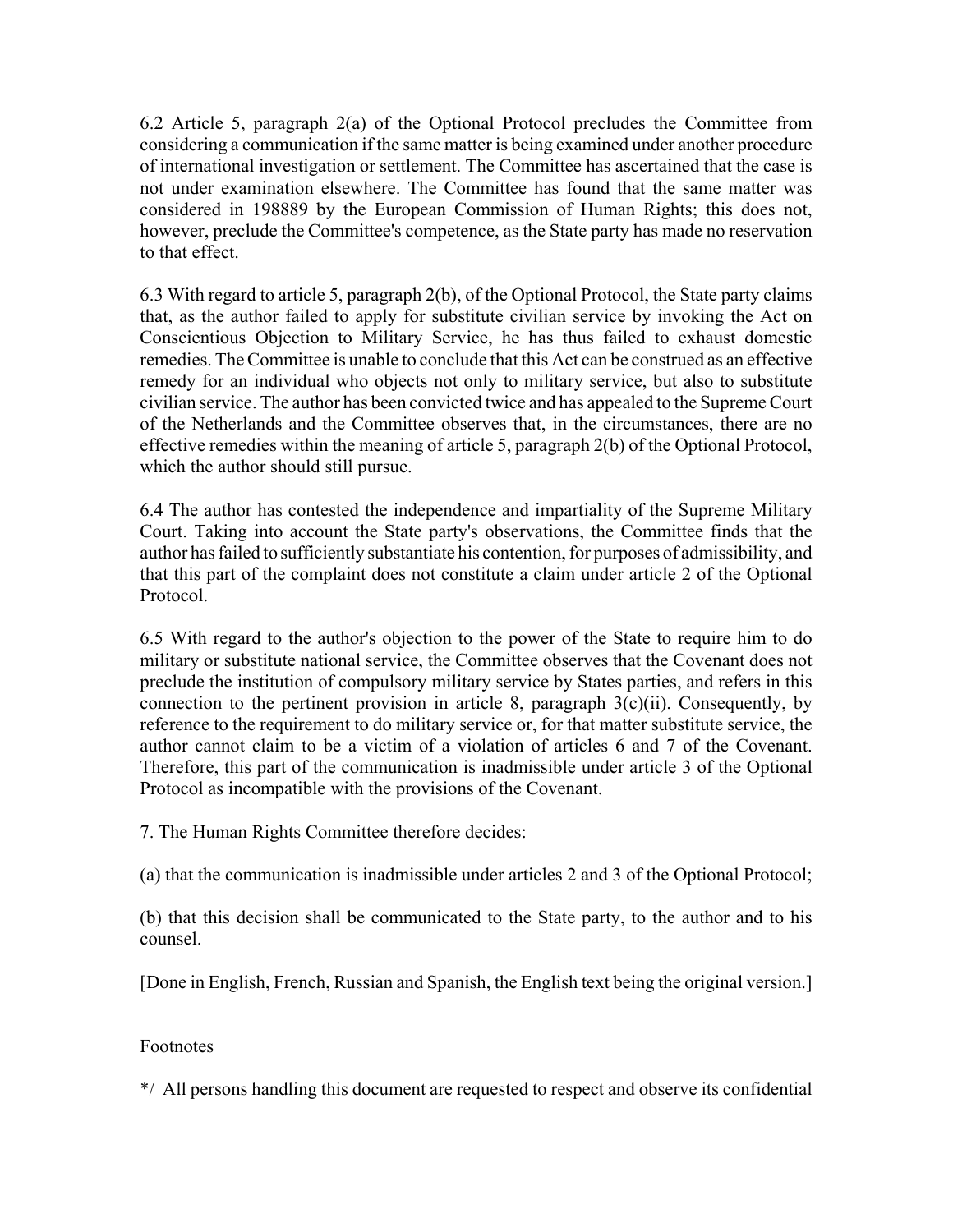6.2 Article 5, paragraph 2(a) of the Optional Protocol precludes the Committee from considering a communication if the same matter is being examined under another procedure of international investigation or settlement. The Committee has ascertained that the case is not under examination elsewhere. The Committee has found that the same matter was considered in 198889 by the European Commission of Human Rights; this does not, however, preclude the Committee's competence, as the State party has made no reservation to that effect.

6.3 With regard to article 5, paragraph 2(b), of the Optional Protocol, the State party claims that, as the author failed to apply for substitute civilian service by invoking the Act on Conscientious Objection to Military Service, he has thus failed to exhaust domestic remedies. The Committee is unable to conclude that this Act can be construed as an effective remedy for an individual who objects not only to military service, but also to substitute civilian service. The author has been convicted twice and has appealed to the Supreme Court of the Netherlands and the Committee observes that, in the circumstances, there are no effective remedies within the meaning of article 5, paragraph 2(b) of the Optional Protocol, which the author should still pursue.

6.4 The author has contested the independence and impartiality of the Supreme Military Court. Taking into account the State party's observations, the Committee finds that the author has failed to sufficiently substantiate his contention, for purposes of admissibility, and that this part of the complaint does not constitute a claim under article 2 of the Optional Protocol.

6.5 With regard to the author's objection to the power of the State to require him to do military or substitute national service, the Committee observes that the Covenant does not preclude the institution of compulsory military service by States parties, and refers in this connection to the pertinent provision in article 8, paragraph  $3(c)(ii)$ . Consequently, by reference to the requirement to do military service or, for that matter substitute service, the author cannot claim to be a victim of a violation of articles 6 and 7 of the Covenant. Therefore, this part of the communication is inadmissible under article 3 of the Optional Protocol as incompatible with the provisions of the Covenant.

7. The Human Rights Committee therefore decides:

(a) that the communication is inadmissible under articles 2 and 3 of the Optional Protocol;

(b) that this decision shall be communicated to the State party, to the author and to his counsel.

[Done in English, French, Russian and Spanish, the English text being the original version.]

### Footnotes

\*/ All persons handling this document are requested to respect and observe its confidential